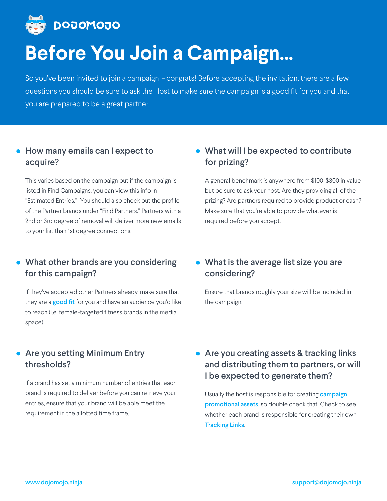

# **Before You Join a Campaign...**

So you've been invited to join a campaign - congrats! Before accepting the invitation, there are a few questions you should be sure to ask the Host to make sure the campaign is a good fit for you and that you are prepared to be a great partner.

#### How many emails can I expect to acquire?

## **• What will I be expected to contribute** for prizing?

This varies based on the campaign but if the campaign is listed in Find Campaigns, you can view this info in "Estimated Entries." You should also check out the profile of the Partner brands under "Find Partners." Partners with a 2nd or 3rd degree of removal will deliver more new emails to your list than 1st degree connections.

- What other brands are you considering for this campaign?
- What is the average list size you are considering?

#### **• Are you setting Minimum Entry** thresholds?

A general benchmark is anywhere from \$100-\$300 in value but be sure to ask your host. Are they providing all of the prizing? Are partners required to provide product or cash? Make sure that you're able to provide whatever is required before you accept.

**• Are you creating assets & tracking links** and distributing them to partners, or will I be expected to generate them?

Usually the host is responsible for creating **campaign**  $\blacksquare$ promotional assets, so double check that. Check to see whether each brand is responsible for creating their own **Tracking Links.** 

If they've accepted other Partners already, make sure that they are a **good fit** for you and have an audience you'd like to reach (i.e. female-targeted fitness brands in the media space).

Ensure that brands roughly your size will be included in the campaign.

If a brand has set a minimum number of entries that each brand is required to deliver before you can retrieve your entries, ensure that your brand will be able meet the requirement in the allotted time frame.